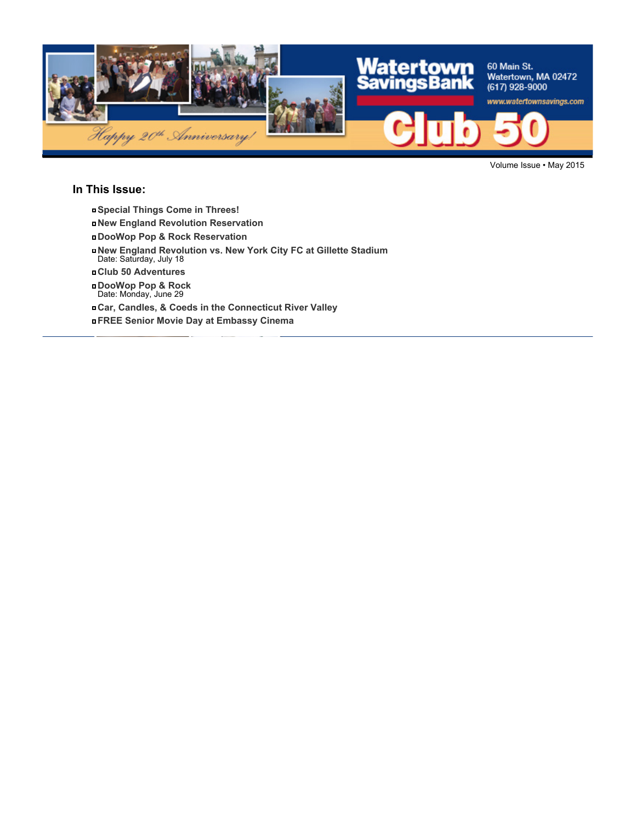

Volume Issue • May 2015

#### **In This Issue:**

- **Special Things Come in Threes!**
- **New England Revolution Reservation**
- **DooWop Pop & Rock Reservation**
- **New England Revolution vs. New York City FC at Gillette Stadium** Date: Saturday, July 18
- **Club 50 Adventures**
- **DooWop Pop & Rock** Date: Monday, June 29
- **Car, Candles, & Coeds in the Connecticut River Valley**

**FREE Senior Movie Day at Embassy Cinema**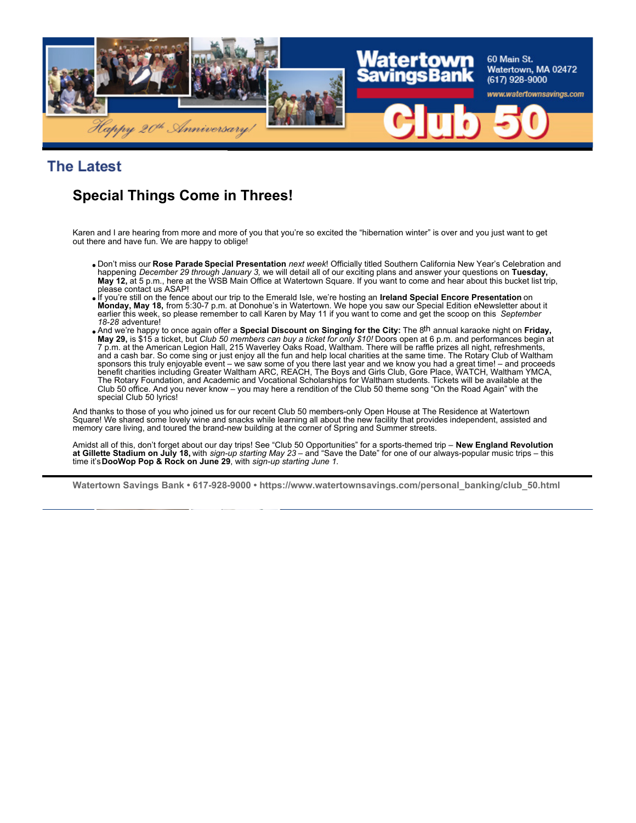

**The Latest** 

## **Special Things Come in Threes!**

Karen and I are hearing from more and more of you that you're so excited the "hibernation winter" is over and you just want to get out there and have fun. We are happy to oblige!

- Don't miss our **Rose Parade Special Presentation** *next week*! Officially titled Southern California New Year's Celebration and happening *December 29 through January 3,* we will detail all of our exciting plans and answer your questions on **Tuesday, May 12,** at 5 p.m., here at the WSB Main Office at Watertown Square. If you want to come and hear about this bucket list trip, please contact us ASAP!
- If you're still on the fence about our trip to the Emerald Isle, we're hosting an **Ireland Special Encore Presentation** on **Monday, May 18,** from 5:30-7 p.m. at Donohue's in Watertown. We hope you saw our Special Edition eNewsletter about it<br>earlier this week, so please remember to call Karen by May 11 if you want to come and get the scoop on *18-28* adventure!
- And we're happy to once again offer a **Special Discount on Singing for the City:** The 8th annual karaoke night on **Friday, May 29,** is \$15 a ticket, but *Club 50 members can buy a ticket for only \$10!* Doors open at 6 p.m. and performances begin at 7 p.m. at the American Legion Hall, 215 Waverley Oaks Road, Waltham. There will be raffle prizes all night, refreshments, and a cash bar. So come sing or just enjoy all the fun and help local charities at the same time. The Rotary Club of Waltham sponsors this truly enjoyable event – we saw some of you there last year and we know you had a great time! – and proceeds benefit charities including Greater Waltham ARC, REACH, The Boys and Girls Club, Gore Place, WATCH, Waltham YMCA, The Rotary Foundation, and Academic and Vocational Scholarships for Waltham students. Tickets will be available at the Club 50 office. And you never know – you may here a rendition of the Club 50 theme song "On the Road Again" with the special Club 50 lyrics!

And thanks to those of you who joined us for our recent Club 50 members-only Open House at The Residence at Watertown Square! We shared some lovely wine and snacks while learning all about the new facility that provides independent, assisted and memory care living, and toured the brand-new building at the corner of Spring and Summer streets.

Amidst all of this, don't forget about our day trips! See "Club 50 Opportunities" for a sports-themed trip – **New England Revolution**<br>**at Gillette Stadium on July 18,** with *sign-up starting May 23* – and "Save the Date" f time it's **DooWop Pop & Rock on June 29**, with *sign-up starting June 1.*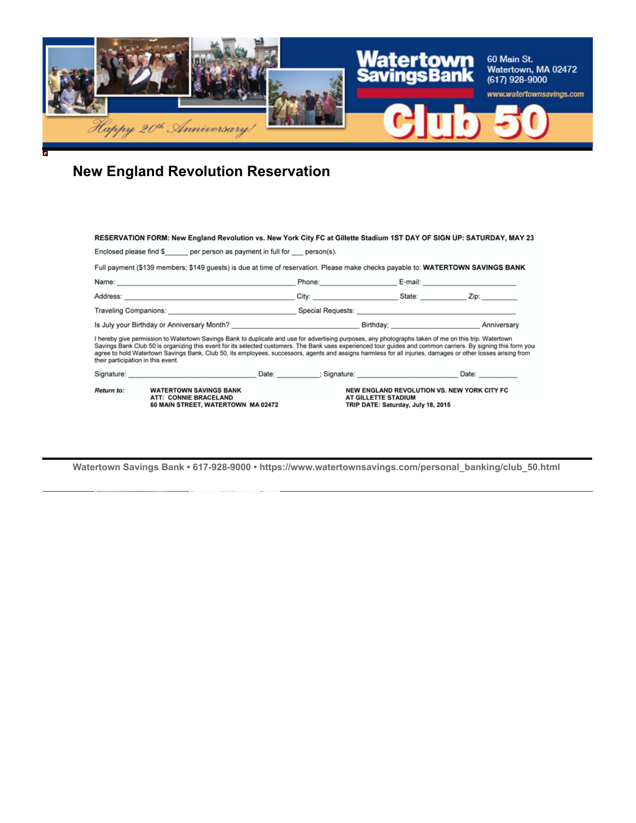

# **New England Revolution Reservation**

| RESERVATION FORM: New England Revolution vs. New York City FC at Gillette Stadium 1ST DAY OF SIGN UP: SATURDAY, MAY 23                                                                                                                                                                                                                                                                                                                                                                                                       |                                                                                                                                                                                                                                |                     |                                                                                   |                       |  |  |  |  |
|------------------------------------------------------------------------------------------------------------------------------------------------------------------------------------------------------------------------------------------------------------------------------------------------------------------------------------------------------------------------------------------------------------------------------------------------------------------------------------------------------------------------------|--------------------------------------------------------------------------------------------------------------------------------------------------------------------------------------------------------------------------------|---------------------|-----------------------------------------------------------------------------------|-----------------------|--|--|--|--|
| Enclosed please find \$ per person as payment in full for person(s).                                                                                                                                                                                                                                                                                                                                                                                                                                                         |                                                                                                                                                                                                                                |                     |                                                                                   |                       |  |  |  |  |
| Full payment (\$139 members; \$149 quests) is due at time of reservation. Please make checks payable to: WATERTOWN SAVINGS BANK                                                                                                                                                                                                                                                                                                                                                                                              |                                                                                                                                                                                                                                |                     |                                                                                   |                       |  |  |  |  |
| Name: E-mail: E-mail: E-mail: E-mail: E-mail: E-mail: E-mail: E-mail: E-mail: E-mail: E-mail: E-mail: E-mail: E-mail: E-mail: E-mail: E-mail: E-mail: E-mail: E-mail: E-mail: E-mail: E-mail: E-mail: E-mail: E-mail: E-mail:                                                                                                                                                                                                                                                                                                |                                                                                                                                                                                                                                |                     |                                                                                   |                       |  |  |  |  |
|                                                                                                                                                                                                                                                                                                                                                                                                                                                                                                                              |                                                                                                                                                                                                                                |                     |                                                                                   |                       |  |  |  |  |
|                                                                                                                                                                                                                                                                                                                                                                                                                                                                                                                              |                                                                                                                                                                                                                                |                     |                                                                                   |                       |  |  |  |  |
|                                                                                                                                                                                                                                                                                                                                                                                                                                                                                                                              |                                                                                                                                                                                                                                |                     |                                                                                   |                       |  |  |  |  |
| I hereby give permission to Watertown Savings Bank to duplicate and use for advertising purposes, any photographs taken of me on this trip. Watertown<br>Savings Bank Club 50 is organizing this event for its selected customers. The Bank uses experienced tour guides and common carriers. By signing this form you<br>agree to hold Watertown Savings Bank, Club 50, its employees, successors, agents and assigns harmless for all injuries, damages or other losses arising from<br>their participation in this event. |                                                                                                                                                                                                                                |                     |                                                                                   |                       |  |  |  |  |
|                                                                                                                                                                                                                                                                                                                                                                                                                                                                                                                              | Signature: Signature: Signature: Signature: Signature: Signature: Signature: Signature: Signature: Signature: Signature: Signature: Signature: Signature: Signature: Signature: Signature: Signature: Signature: Signature: Si |                     |                                                                                   | Date: $\qquad \qquad$ |  |  |  |  |
| Return to:                                                                                                                                                                                                                                                                                                                                                                                                                                                                                                                   | <b>WATERTOWN SAVINGS BANK</b><br>ATT: CONNIE BRACELAND<br>60 MAIN STREET, WATERTOWN MA 02472                                                                                                                                   | AT GILLETTE STADIUM | NEW ENGLAND REVOLUTION VS. NEW YORK CITY FC<br>TRIP DATE: Saturday, July 18, 2015 |                       |  |  |  |  |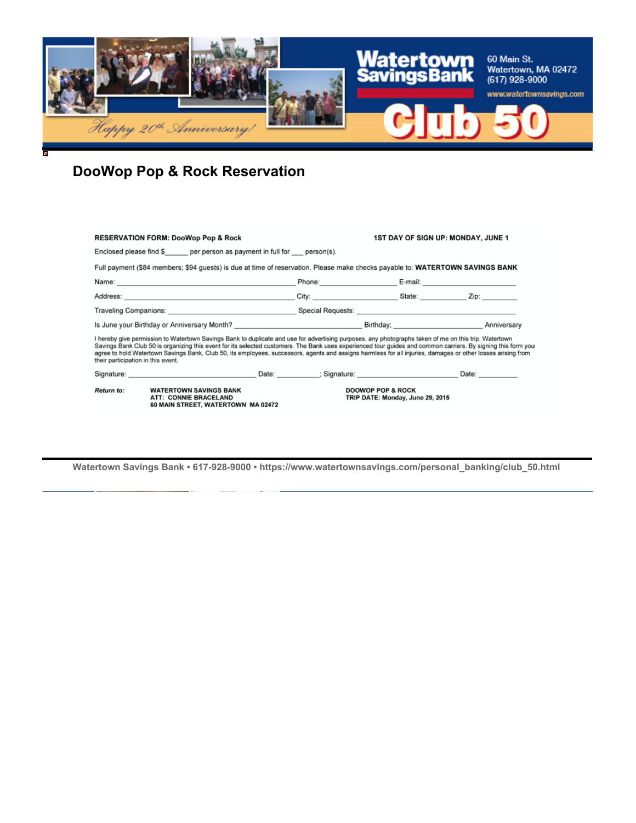

# **DooWop Pop & Rock Reservation**

|                                                                                                                                                                                                                                                                                                                                                                                                                                                                                                                              | <b>RESERVATION FORM: DooWop Pop &amp; Rock</b>                                                                                                                                                                                 |  | <b>1ST DAY OF SIGN UP: MONDAY, JUNE 1</b>                                                                                                                                                                                      |  |  |  |  |  |
|------------------------------------------------------------------------------------------------------------------------------------------------------------------------------------------------------------------------------------------------------------------------------------------------------------------------------------------------------------------------------------------------------------------------------------------------------------------------------------------------------------------------------|--------------------------------------------------------------------------------------------------------------------------------------------------------------------------------------------------------------------------------|--|--------------------------------------------------------------------------------------------------------------------------------------------------------------------------------------------------------------------------------|--|--|--|--|--|
| Enclosed please find \$ per person as payment in full for person(s).                                                                                                                                                                                                                                                                                                                                                                                                                                                         |                                                                                                                                                                                                                                |  |                                                                                                                                                                                                                                |  |  |  |  |  |
| Full payment (\$84 members; \$94 guests) is due at time of reservation. Please make checks payable to: WATERTOWN SAVINGS BANK                                                                                                                                                                                                                                                                                                                                                                                                |                                                                                                                                                                                                                                |  |                                                                                                                                                                                                                                |  |  |  |  |  |
|                                                                                                                                                                                                                                                                                                                                                                                                                                                                                                                              |                                                                                                                                                                                                                                |  | Phone: E-mail: E-mail: E-mail: E-mail: E-mail: E-mail: E-mail: E-mail: E-mail: E-mail: E-mail: E-mail: E-mail: E-mail: E-mail: E-mail: E-mail: E-mail: E-mail: E-mail: E-mail: E-mail: E-mail: E-mail: E-mail: E-mail: E-mail: |  |  |  |  |  |
|                                                                                                                                                                                                                                                                                                                                                                                                                                                                                                                              |                                                                                                                                                                                                                                |  | City: State: Zip:                                                                                                                                                                                                              |  |  |  |  |  |
| Traveling Companions: <u>with the second second second sequests</u> Special Requests: with the second second second second second second second second second second second second second second second second second second second                                                                                                                                                                                                                                                                                          |                                                                                                                                                                                                                                |  |                                                                                                                                                                                                                                |  |  |  |  |  |
| Is June your Birthday or Anniversary Month? <b>Anniversary Month Accord Control Control</b> Birthday; Anniversary Anniversary                                                                                                                                                                                                                                                                                                                                                                                                |                                                                                                                                                                                                                                |  |                                                                                                                                                                                                                                |  |  |  |  |  |
| I hereby give permission to Watertown Savings Bank to duplicate and use for advertising purposes, any photographs taken of me on this trip. Watertown<br>Savings Bank Club 50 is organizing this event for its selected customers. The Bank uses experienced tour guides and common carriers. By signing this form you<br>agree to hold Watertown Savings Bank, Club 50, its employees, successors, agents and assigns harmless for all injuries, damages or other losses arising from<br>their participation in this event. |                                                                                                                                                                                                                                |  |                                                                                                                                                                                                                                |  |  |  |  |  |
|                                                                                                                                                                                                                                                                                                                                                                                                                                                                                                                              | Signature: Date: Date: Signature: Date: Signature: Date: Date: Date: Date: Date: Date: Date: Date: Date: Date: Date: Date: Date: Date: Date: Date: Date: Date: Date: Date: Date: Date: Date: Date: Date: Date: Date: Date: Dat |  |                                                                                                                                                                                                                                |  |  |  |  |  |
| Return to:                                                                                                                                                                                                                                                                                                                                                                                                                                                                                                                   | <b>WATERTOWN SAVINGS BANK</b><br>ATT: CONNIE BRACELAND<br>60 MAIN STREET, WATERTOWN MA 02472                                                                                                                                   |  | <b>DOOWOP POP &amp; ROCK</b><br>TRIP DATE: Monday, June 29, 2015                                                                                                                                                               |  |  |  |  |  |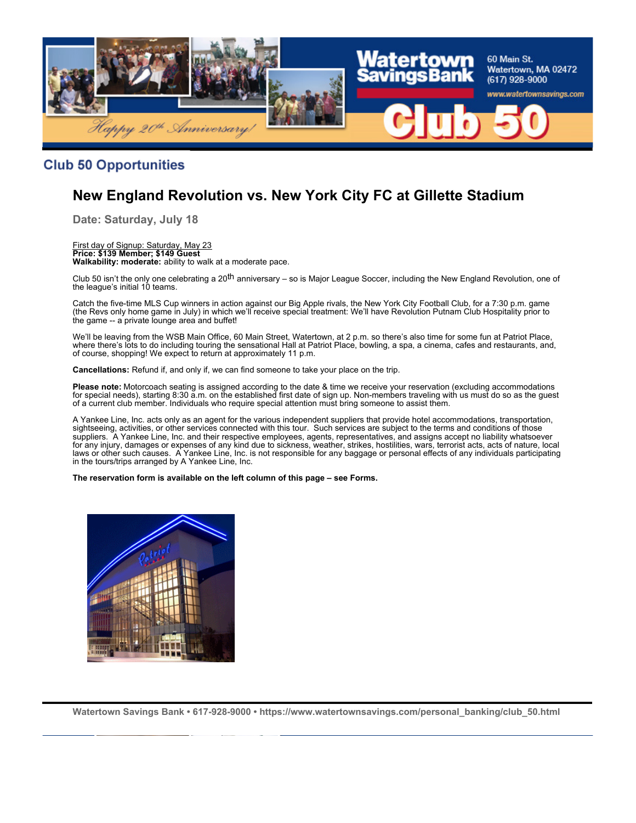

#### **Club 50 Opportunities**

## **New England Revolution vs. New York City FC at Gillette Stadium**

**Date: Saturday, July 18**

#### First day of Signup: Saturday, May 23 **Price: \$139 Member; \$149 Guest Walkability: moderate:** ability to walk at a moderate pace.

Club 50 isn't the only one celebrating a 20<sup>th</sup> anniversary – so is Major League Soccer, including the New England Revolution, one of the league's initial 10 teams.

Catch the five-time MLS Cup winners in action against our Big Apple rivals, the New York City Football Club, for a 7:30 p.m. game (the Revs only home game in July) in which we'll receive special treatment: We'll have Revolution Putnam Club Hospitality prior to the game -- a private lounge area and buffet!

We'll be leaving from the WSB Main Office, 60 Main Street, Watertown, at 2 p.m. so there's also time for some fun at Patriot Place, where there's lots to do including touring the sensational Hall at Patriot Place, bowling, a spa, a cinema, cafes and restaurants, and, of course, shopping! We expect to return at approximately 11 p.m.

**Cancellations:** Refund if, and only if, we can find someone to take your place on the trip.

**Please note:** Motorcoach seating is assigned according to the date & time we receive your reservation (excluding accommodations for special needs), starting 8:30 a.m. on the established first date of sign up. Non-members traveling with us must do so as the guest of a current club member. Individuals who require special attention must bring someone to assist them.

A Yankee Line, Inc. acts only as an agent for the various independent suppliers that provide hotel accommodations, transportation, sightseeing, activities, or other services connected with this tour. Such services are subject to the terms and conditions of those suppliers. A Yankee Line, Inc. and their respective employees, agents, representatives, and assigns accept no liability whatsoever for any injury, damages or expenses of any kind due to sickness, weather, strikes, hostilities, wars, terrorist acts, acts of nature, local laws or other such causes. A Yankee Line, Inc. is not responsible for any baggage or personal effects of any individuals participating in the tours/trips arranged by A Yankee Line, Inc.

**The reservation form is available on the left column of this page – see Forms.**

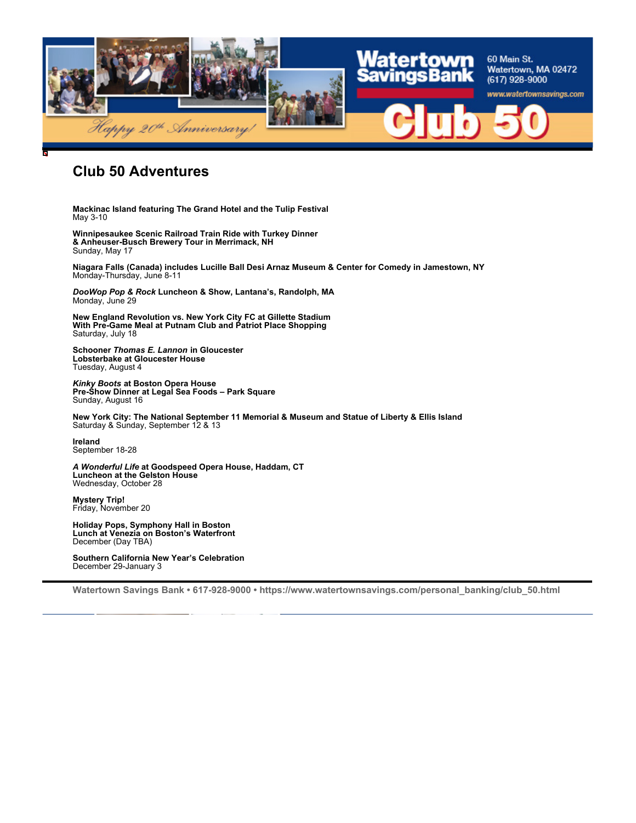

### **Club 50 Adventures**

**Mackinac Island featuring The Grand Hotel and the Tulip Festival** May 3-10

**Winnipesaukee Scenic Railroad Train Ride with Turkey Dinner & Anheuser-Busch Brewery Tour in Merrimack, NH** Sunday, May 17

**Niagara Falls (Canada) includes Lucille Ball Desi Arnaz Museum & Center for Comedy in Jamestown, NY** Monday-Thursday, June 8-11

*DooWop Pop & Rock* **Luncheon & Show, Lantana's, Randolph, MA** Monday, June 29

**New England Revolution vs. New York City FC at Gillette Stadium With Pre-Game Meal at Putnam Club and Patriot Place Shopping** Saturday, July 18

**Schooner** *Thomas E. Lannon* **in Gloucester Lobsterbake at Gloucester House** Tuesday, August 4

*Kinky Boots* **at Boston Opera House Pre-Show Dinner at Legal Sea Foods – Park Square** Sunday, August 16

**New York City: The National September 11 Memorial & Museum and Statue of Liberty & Ellis Island** Saturday & Sunday, September 12 & 13

**Ireland** September 18-28

*A Wonderful Life* **at Goodspeed Opera House, Haddam, CT Luncheon at the Gelston House** Wednesday, October 28

**Mystery Trip!** Friday, November 20

**Holiday Pops, Symphony Hall in Boston Lunch at Venezia on Boston's Waterfront** December (Day TBA)

**Southern California New Year's Celebration** December 29-January 3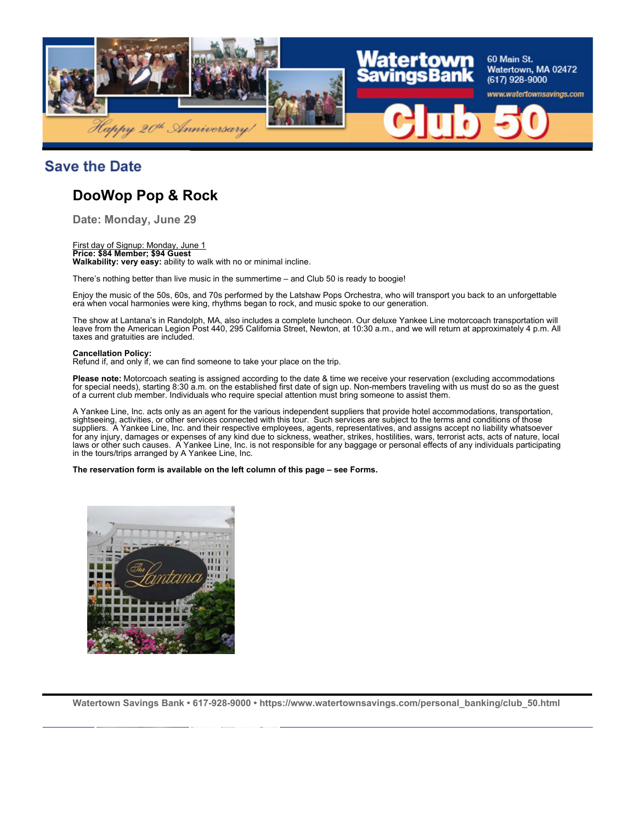

### **Save the Date**

### **DooWop Pop & Rock**

**Date: Monday, June 29**

#### First day of Signup: Monday, June 1

**Price: \$84 Member; \$94 Guest Walkability: very easy:** ability to walk with no or minimal incline.

There's nothing better than live music in the summertime – and Club 50 is ready to boogie!

Enjoy the music of the 50s, 60s, and 70s performed by the Latshaw Pops Orchestra, who will transport you back to an unforgettable era when vocal harmonies were king, rhythms began to rock, and music spoke to our generation.

The show at Lantana's in Randolph, MA, also includes a complete luncheon. Our deluxe Yankee Line motorcoach transportation will leave from the American Legion Post 440, 295 California Street, Newton, at 10:30 a.m., and we will return at approximately 4 p.m. All taxes and gratuities are included.

#### **Cancellation Policy:**

Refund if, and only if, we can find someone to take your place on the trip.

**Please note:** Motorcoach seating is assigned according to the date & time we receive your reservation (excluding accommodations for special needs), starting 8:30 a.m. on the established first date of sign up. Non-members traveling with us must do so as the guest of a current club member. Individuals who require special attention must bring someone to assist them.

A Yankee Line, Inc. acts only as an agent for the various independent suppliers that provide hotel accommodations, transportation, sightseeing, activities, or other services connected with this tour. Such services are subject to the terms and conditions of those suppliers. A Yankee Line, Inc. and their respective employees, agents, representatives, and assigns accept no liability whatsoever for any injury, damages or expenses of any kind due to sickness, weather, strikes, hostilities, wars, terrorist acts, acts of nature, local laws or other such causes. A Yankee Line, Inc. is not responsible for any baggage or personal effects of any individuals participating in the tours/trips arranged by A Yankee Line, Inc.

#### **The reservation form is available on the left column of this page – see Forms.**

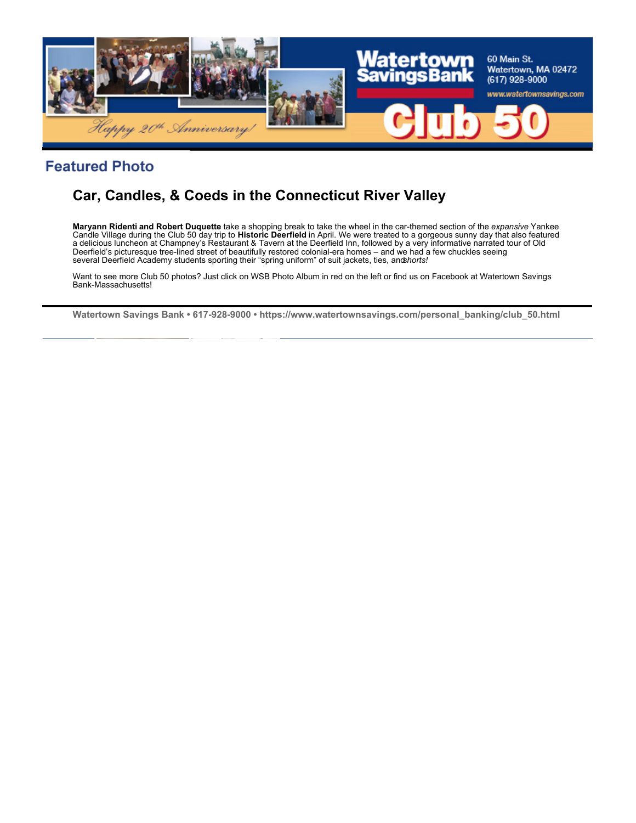

### **Featured Photo**

# **Car, Candles, & Coeds in the Connecticut River Valley**

**Maryann Ridenti and Robert Duquette** take a shopping break to take the wheel in the car-themed section of the *expansive* Yankee Candle Village during the Club 50 day trip to **Historic Deerfield** in April. We were treated to a gorgeous sunny day that also featured a delicious luncheon at Champney's Restaurant & Tavern at the Deerfield Inn, followed by a very informative narrated tour of Old Deerfield's picturesque tree-lined street of beautifully restored colonial-era homes – and we had a few chuckles seeing<br>several Deerfield Academy students sporting their "spring uniform" of suit jackets, ties, anʤ*horts!* 

Want to see more Club 50 photos? Just click on WSB Photo Album in red on the left or find us on Facebook at Watertown Savings Bank-Massachusetts!